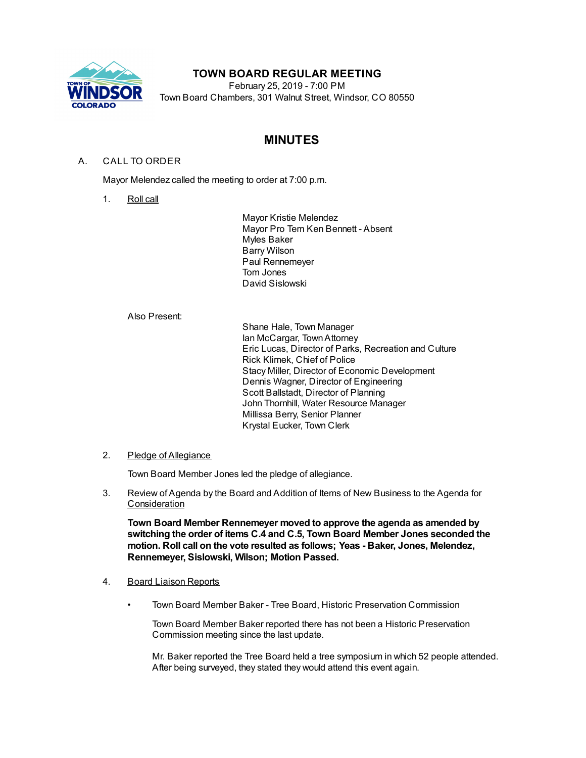

# **TOWN BOARD REGULAR MEETING**

February 25, 2019 - 7:00 PM Town Board Chambers, 301 Walnut Street, Windsor, CO 80550

# **MINUTES**

# A. CALL TO ORDER

Mayor Melendez called the meeting to order at 7:00 p.m.

1. Roll call

Mayor Kristie Melendez Mayor Pro Tem Ken Bennett - Absent Myles Baker Barry Wilson Paul Rennemeyer Tom Jones David Sislowski

Also Present:

Shane Hale, Town Manager Ian McCargar, TownAttorney Eric Lucas, Director of Parks, Recreation and Culture Rick Klimek, Chief of Police Stacy Miller, Director of Economic Development Dennis Wagner, Director of Engineering Scott Ballstadt, Director of Planning John Thornhill, Water Resource Manager Millissa Berry, Senior Planner Krystal Eucker, Town Clerk

## 2. Pledge of Allegiance

Town Board Member Jones led the pledge of allegiance.

3. Review of Agenda by the Board and Addition of Items of New Business to the Agenda for **Consideration** 

**Town Board Member Rennemeyer moved to approve the agenda as amended by switching the order of items C.4 and C.5, Town Board Member Jones seconded the motion. Roll call on the vote resulted as follows; Yeas - Baker, Jones, Melendez, Rennemeyer, Sislowski, Wilson; Motion Passed.**

## 4. Board Liaison Reports

• Town Board Member Baker - Tree Board, Historic Preservation Commission

Town Board Member Baker reported there has not been a Historic Preservation Commission meeting since the last update.

Mr. Baker reported the Tree Board held a tree symposium in which 52 people attended. After being surveyed, they stated they would attend this event again.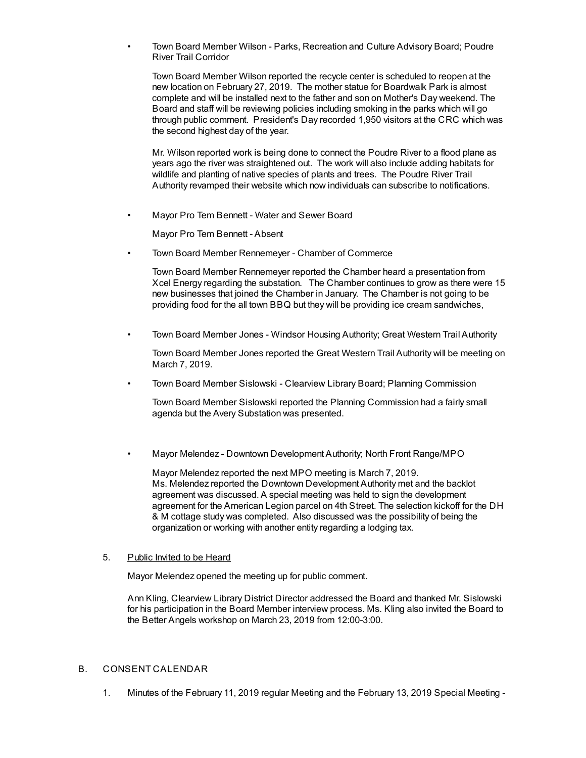• Town Board Member Wilson - Parks, Recreation and Culture Advisory Board; Poudre River Trail Corridor

Town Board Member Wilson reported the recycle center is scheduled to reopen at the new location on February 27, 2019. The mother statue for Boardwalk Park is almost complete and will be installed next to the father and son on Mother's Day weekend. The Board and staff will be reviewing policies including smoking in the parks which will go through public comment. President's Day recorded 1,950 visitors at the CRC which was the second highest day of the year.

Mr. Wilson reported work is being done to connect the Poudre River to a flood plane as years ago the river was straightened out. The work will also include adding habitats for wildlife and planting of native species of plants and trees. The Poudre River Trail Authority revamped their website which now individuals can subscribe to notifications.

• Mayor Pro Tem Bennett - Water and Sewer Board

Mayor Pro Tem Bennett - Absent

• Town Board Member Rennemeyer - Chamber of Commerce

Town Board Member Rennemeyer reported the Chamber heard a presentation from Xcel Energy regarding the substation. The Chamber continues to grow as there were 15 new businesses that joined the Chamber in January. The Chamber is not going to be providing food for the all town BBQ but they will be providing ice cream sandwiches,

• Town Board Member Jones - Windsor Housing Authority; Great Western Trail Authority

Town Board Member Jones reported the Great Western Trail Authority will be meeting on March 7, 2019.

• Town Board Member Sislowski - Clearview Library Board; Planning Commission

Town Board Member Sislowski reported the Planning Commission had a fairly small agenda but the Avery Substation was presented.

• Mayor Melendez - Downtown Development Authority; North Front Range/MPO

Mayor Melendez reported the next MPO meeting is March 7, 2019. Ms. Melendez reported the Downtown Development Authority met and the backlot agreement was discussed. A special meeting was held to sign the development agreement for the American Legion parcel on 4th Street. The selection kickoff for the DH & M cottage study was completed. Also discussed was the possibility of being the organization or working with another entity regarding a lodging tax.

### 5. Public Invited to be Heard

Mayor Melendez opened the meeting up for public comment.

Ann Kling, Clearview Library District Director addressed the Board and thanked Mr. Sislowski for his participation in the Board Member interview process. Ms. Kling also invited the Board to the Better Angels workshop on March 23, 2019 from 12:00-3:00.

### B. CONSENT CALENDAR

1. Minutes of the February 11, 2019 regular Meeting and the February 13, 2019 Special Meeting -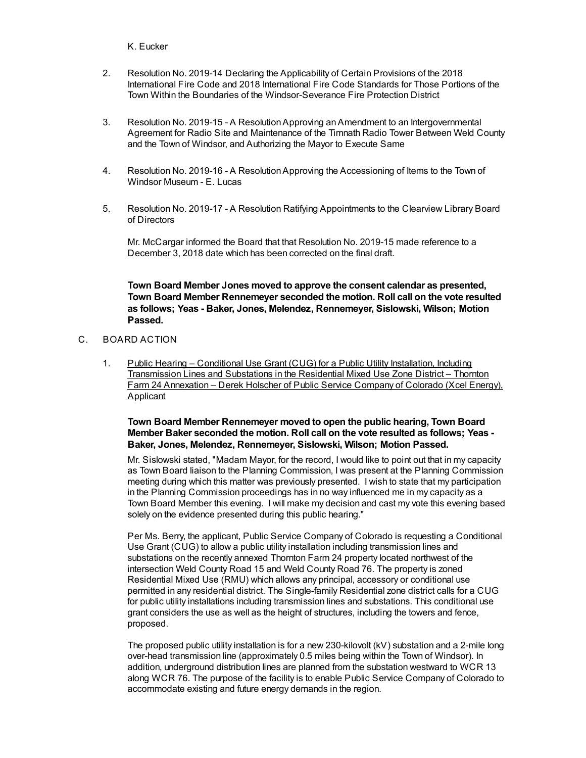#### K. Eucker

- 2. Resolution No. 2019-14 Declaring the Applicability of Certain Provisions of the 2018 International Fire Code and 2018 International Fire Code Standards for Those Portions of the Town Within the Boundaries of the Windsor-Severance Fire Protection District
- 3. Resolution No. 2019-15 A ResolutionApproving anAmendment to an Intergovernmental Agreement for Radio Site and Maintenance of the Timnath Radio Tower Between Weld County and the Town of Windsor, and Authorizing the Mayor to Execute Same
- 4. Resolution No. 2019-16 A ResolutionApproving the Accessioning of Items to the Town of Windsor Museum - E. Lucas
- 5. Resolution No. 2019-17 A Resolution Ratifying Appointments to the Clearview Library Board of Directors

Mr. McCargar informed the Board that that Resolution No. 2019-15 made reference to a December 3, 2018 date which has been corrected on the final draft.

**Town Board Member Jones moved to approve the consent calendar as presented, Town Board Member Rennemeyer seconded the motion. Roll call on the vote resulted as follows; Yeas - Baker, Jones, Melendez, Rennemeyer, Sislowski, Wilson; Motion Passed.**

# C. BOARD ACTION

1. Public Hearing - Conditional Use Grant (CUG) for a Public Utility Installation, Including Transmission Lines and Substations in the Residential Mixed Use Zone District – Thornton Farm 24 Annexation – Derek Holscher of Public Service Company of Colorado (Xcel Energy), Applicant

## **Town Board Member Rennemeyer moved to open the public hearing, Town Board Member Baker seconded the motion. Roll call on the vote resulted as follows; Yeas - Baker, Jones, Melendez, Rennemeyer, Sislowski, Wilson; Motion Passed.**

Mr. Sislowski stated, "Madam Mayor, for the record, I would like to point out that in my capacity as Town Board liaison to the Planning Commission, I was present at the Planning Commission meeting during which this matter was previously presented. I wish to state that my participation in the Planning Commission proceedings has in no way influenced me in my capacity as a Town Board Member this evening. I will make my decision and cast my vote this evening based solely on the evidence presented during this public hearing."

Per Ms. Berry, the applicant, Public Service Company of Colorado is requesting a Conditional Use Grant (CUG) to allow a public utility installation including transmission lines and substations on the recently annexed Thornton Farm 24 property located northwest of the intersection Weld County Road 15 and Weld County Road 76. The property is zoned Residential Mixed Use (RMU) which allows any principal, accessory or conditional use permitted in any residential district. The Single-family Residential zone district calls for a CUG for public utility installations including transmission lines and substations. This conditional use grant considers the use as well as the height of structures, including the towers and fence, proposed.

The proposed public utility installation is for a new 230-kilovolt (kV) substation and a 2-mile long over-head transmission line (approximately 0.5 miles being within the Town of Windsor). In addition, underground distribution lines are planned from the substation westward to WCR 13 along WCR 76. The purpose of the facility is to enable Public Service Company of Colorado to accommodate existing and future energy demands in the region.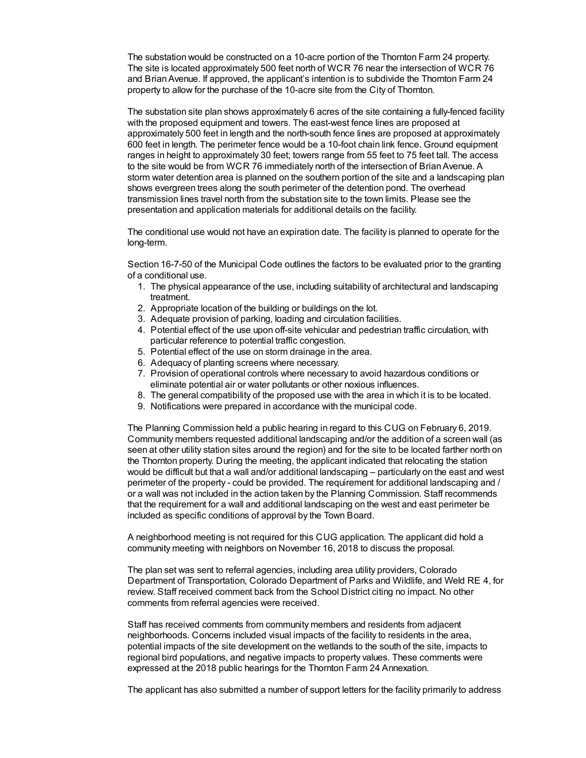The substation would be constructed on a 10-acre portion of the Thornton Farm 24 property. The site is located approximately 500 feet north of WCR 76 near the intersection of WCR 76 and BrianAvenue. If approved, the applicant's intention is to subdivide the Thornton Farm 24 property to allow for the purchase of the 10-acre site from the City of Thornton.

The substation site plan shows approximately 6 acres of the site containing a fully-fenced facility with the proposed equipment and towers. The east-west fence lines are proposed at approximately 500 feet in length and the north-south fence lines are proposed at approximately 600 feet in length. The perimeter fence would be a 10-foot chain link fence. Ground equipment ranges in height to approximately 30 feet; towers range from 55 feet to 75 feet tall. The access to the site would be from WCR 76 immediately north of the intersection of Brian Avenue. A storm water detention area is planned on the southern portion of the site and a landscaping plan shows evergreen trees along the south perimeter of the detention pond. The overhead transmission lines travel north from the substation site to the town limits. Please see the presentation and application materials for additional details on the facility.

The conditional use would not have an expiration date. The facility is planned to operate for the long-term.

Section 16-7-50 of the Municipal Code outlines the factors to be evaluated prior to the granting of a conditional use.

- 1. The physical appearance of the use, including suitability of architectural and landscaping treatment.
- 2. Appropriate location of the building or buildings on the lot.
- 3. Adequate provision of parking, loading and circulation facilities.
- 4. Potential effect of the use upon off-site vehicular and pedestrian traffic circulation, with particular reference to potential traffic congestion.
- 5. Potential effect of the use on storm drainage in the area.
- 6. Adequacy of planting screens where necessary.
- 7. Provision of operational controls where necessary to avoid hazardous conditions or eliminate potential air or water pollutants or other noxious influences.
- 8. The general compatibility of the proposed use with the area in which it is to be located.
- 9. Notifications were prepared in accordance with the municipal code.

The Planning Commission held a public hearing in regard to this CUG on February 6, 2019. Community members requested additional landscaping and/or the addition of a screen wall (as seen at other utility station sites around the region) and for the site to be located farther north on the Thornton property. During the meeting, the applicant indicated that relocating the station would be difficult but that a wall and/or additional landscaping – particularly on the east and west perimeter of the property - could be provided. The requirement for additional landscaping and / or a wall was not included in the action taken by the Planning Commission. Staff recommends that the requirement for a wall and additional landscaping on the west and east perimeter be included as specific conditions of approval by the Town Board.

A neighborhood meeting is not required for this CUG application. The applicant did hold a community meeting with neighbors on November 16, 2018 to discuss the proposal.

The plan set was sent to referral agencies, including area utility providers, Colorado Department of Transportation, Colorado Department of Parks and Wildlife, and Weld RE 4, for review. Staff received comment back from the School District citing no impact. No other comments from referral agencies were received.

Staff has received comments from community members and residents from adjacent neighborhoods. Concerns included visual impacts of the facility to residents in the area, potential impacts of the site development on the wetlands to the south of the site, impacts to regional bird populations, and negative impacts to property values. These comments were expressed at the 2018 public hearings for the Thornton Farm 24 Annexation.

The applicant has also submitted a number of support letters for the facility primarily to address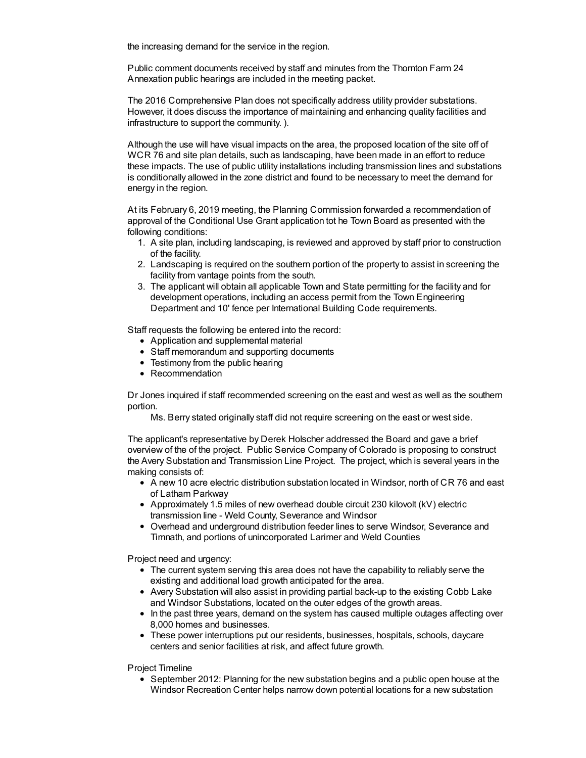the increasing demand for the service in the region.

Public comment documents received by staff and minutes from the Thornton Farm 24 Annexation public hearings are included in the meeting packet.

The 2016 Comprehensive Plan does not specifically address utility provider substations. However, it does discuss the importance of maintaining and enhancing quality facilities and infrastructure to support the community. ).

Although the use will have visual impacts on the area, the proposed location of the site off of WCR 76 and site plan details, such as landscaping, have been made in an effort to reduce these impacts. The use of public utility installations including transmission lines and substations is conditionally allowed in the zone district and found to be necessary to meet the demand for energy in the region.

At its February 6, 2019 meeting, the Planning Commission forwarded a recommendation of approval of the Conditional Use Grant application tot he Town Board as presented with the following conditions:

- 1. A site plan, including landscaping, is reviewed and approved by staff prior to construction of the facility.
- 2. Landscaping is required on the southern portion of the property to assist in screening the facility from vantage points from the south.
- 3. The applicant will obtain all applicable Town and State permitting for the facility and for development operations, including an access permit from the Town Engineering Department and 10' fence per International Building Code requirements.

Staff requests the following be entered into the record:

- Application and supplemental material
- Staff memorandum and supporting documents
- Testimony from the public hearing
- Recommendation

Dr Jones inquired if staff recommended screening on the east and west as well as the southern portion.

Ms. Berry stated originally staff did not require screening on the east or west side.

The applicant's representative by Derek Holscher addressed the Board and gave a brief overview of the of the project. Public Service Company of Colorado is proposing to construct the Avery Substation and Transmission Line Project. The project, which is several years in the making consists of:

- A new 10 acre electric distribution substation located in Windsor, north of CR 76 and east of Latham Parkway
- Approximately 1.5 miles of new overhead double circuit 230 kilovolt (kV) electric transmission line - Weld County, Severance and Windsor
- Overhead and underground distribution feeder lines to serve Windsor, Severance and Timnath, and portions of unincorporated Larimer and Weld Counties

Project need and urgency:

- The current system serving this area does not have the capability to reliably serve the existing and additional load growth anticipated for the area.
- Avery Substation will also assist in providing partial back-up to the existing Cobb Lake and Windsor Substations, located on the outer edges of the growth areas.
- In the past three years, demand on the system has caused multiple outages affecting over 8,000 homes and businesses.
- These power interruptions put our residents, businesses, hospitals, schools, daycare centers and senior facilities at risk, and affect future growth.

Project Timeline

• September 2012: Planning for the new substation begins and a public open house at the Windsor Recreation Center helps narrow down potential locations for a new substation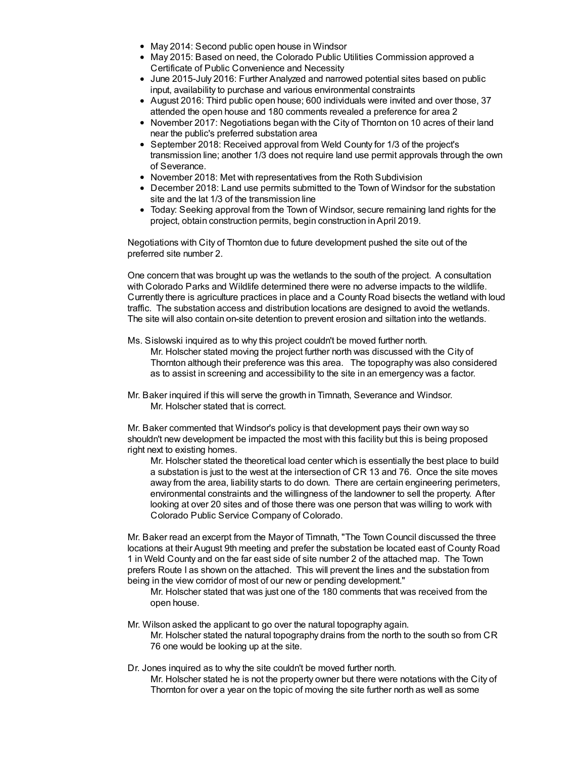- May 2014: Second public open house in Windsor
- May 2015: Based on need, the Colorado Public Utilities Commission approved a Certificate of Public Convenience and Necessity
- June 2015-July 2016: Further Analyzed and narrowed potential sites based on public input, availability to purchase and various environmental constraints
- August 2016: Third public open house; 600 individuals were invited and over those, 37 attended the open house and 180 comments revealed a preference for area 2
- November 2017: Negotiations began with the City of Thornton on 10 acres of their land near the public's preferred substation area
- September 2018: Received approval from Weld County for 1/3 of the project's transmission line; another 1/3 does not require land use permit approvals through the own of Severance.
- November 2018: Met with representatives from the Roth Subdivision
- December 2018: Land use permits submitted to the Town of Windsor for the substation site and the lat 1/3 of the transmission line
- Today: Seeking approval from the Town of Windsor, secure remaining land rights for the project, obtain construction permits, begin construction inApril 2019.

Negotiations with City of Thornton due to future development pushed the site out of the preferred site number 2.

One concern that was brought up was the wetlands to the south of the project. A consultation with Colorado Parks and Wildlife determined there were no adverse impacts to the wildlife. Currently there is agriculture practices in place and a County Road bisects the wetland with loud traffic. The substation access and distribution locations are designed to avoid the wetlands. The site will also contain on-site detention to prevent erosion and siltation into the wetlands.

Ms. Sislowski inquired as to why this project couldn't be moved further north.

Mr. Holscher stated moving the project further north was discussed with the City of Thornton although their preference was this area. The topography was also considered as to assist in screening and accessibility to the site in an emergency was a factor.

Mr. Baker inquired if this will serve the growth in Timnath, Severance and Windsor. Mr. Holscher stated that is correct.

Mr. Baker commented that Windsor's policy is that development pays their own way so shouldn't new development be impacted the most with this facility but this is being proposed right next to existing homes.

Mr. Holscher stated the theoretical load center which is essentially the best place to build a substation is just to the west at the intersection of CR 13 and 76. Once the site moves away from the area, liability starts to do down. There are certain engineering perimeters, environmental constraints and the willingness of the landowner to sell the property. After looking at over 20 sites and of those there was one person that was willing to work with Colorado Public Service Company of Colorado.

Mr. Baker read an excerpt from the Mayor of Timnath, "The Town Council discussed the three locations at their August 9th meeting and prefer the substation be located east of County Road 1 in Weld County and on the far east side of site number 2 of the attached map. The Town prefers Route I as shown on the attached. This will prevent the lines and the substation from being in the view corridor of most of our new or pending development."

Mr. Holscher stated that was just one of the 180 comments that was received from the open house.

Mr. Wilson asked the applicant to go over the natural topography again.

Mr. Holscher stated the natural topography drains from the north to the south so from CR 76 one would be looking up at the site.

Dr. Jones inquired as to why the site couldn't be moved further north.

Mr. Holscher stated he is not the property owner but there were notations with the City of Thornton for over a year on the topic of moving the site further north as well as some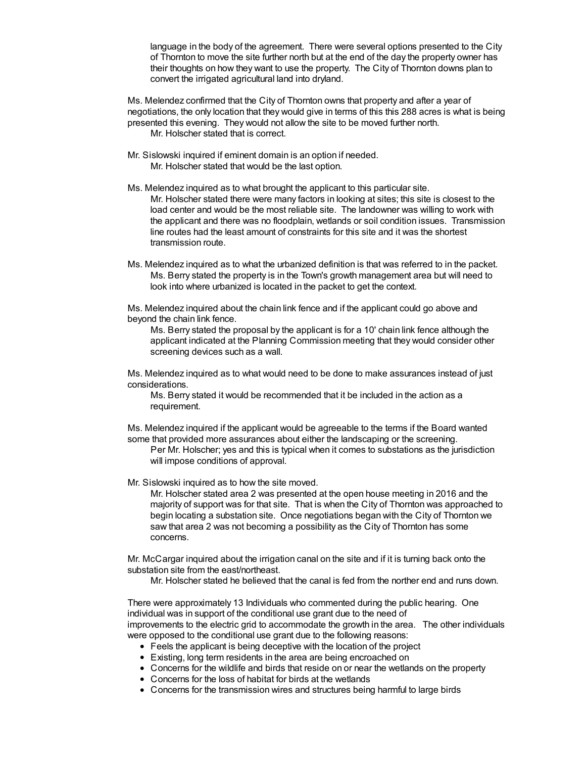language in the body of the agreement. There were several options presented to the City of Thornton to move the site further north but at the end of the day the property owner has their thoughts on how they want to use the property. The City of Thornton downs plan to convert the irrigated agricultural land into dryland.

Ms. Melendez confirmed that the City of Thornton owns that property and after a year of negotiations, the only location that they would give in terms of this this 288 acres is what is being presented this evening. They would not allow the site to be moved further north. Mr. Holscher stated that is correct.

- Mr. Sislowski inquired if eminent domain is an option if needed. Mr. Holscher stated that would be the last option.
- Ms. Melendez inquired as to what brought the applicant to this particular site. Mr. Holscher stated there were many factors in looking at sites; this site is closest to the load center and would be the most reliable site. The landowner was willing to work with the applicant and there was no floodplain, wetlands or soil condition issues. Transmission line routes had the least amount of constraints for this site and it was the shortest transmission route.
- Ms. Melendez inquired as to what the urbanized definition is that was referred to in the packet. Ms. Berry stated the property is in the Town's growth management area but will need to look into where urbanized is located in the packet to get the context.

Ms. Melendez inquired about the chain link fence and if the applicant could go above and beyond the chain link fence.

Ms. Berry stated the proposal by the applicant is for a 10' chain link fence although the applicant indicated at the Planning Commission meeting that they would consider other screening devices such as a wall.

Ms. Melendez inquired as to what would need to be done to make assurances instead of just considerations.

Ms. Berry stated it would be recommended that it be included in the action as a requirement.

Ms. Melendez inquired if the applicant would be agreeable to the terms if the Board wanted some that provided more assurances about either the landscaping or the screening.

Per Mr. Holscher; yes and this is typical when it comes to substations as the jurisdiction will impose conditions of approval.

Mr. Sislowski inquired as to how the site moved.

Mr. Holscher stated area 2 was presented at the open house meeting in 2016 and the majority of support was for that site. That is when the City of Thornton was approached to begin locating a substation site. Once negotiations began with the City of Thornton we saw that area 2 was not becoming a possibility as the City of Thornton has some concerns.

Mr. McCargar inquired about the irrigation canal on the site and if it is turning back onto the substation site from the east/northeast.

Mr. Holscher stated he believed that the canal is fed from the norther end and runs down.

There were approximately 13 Individuals who commented during the public hearing. One individual was in support of the conditional use grant due to the need of improvements to the electric grid to accommodate the growth in the area. The other individuals were opposed to the conditional use grant due to the following reasons:

- Feels the applicant is being deceptive with the location of the project
- Existing, long term residents in the area are being encroached on
- Concerns for the wildlife and birds that reside on or near the wetlands on the property
- Concerns for the loss of habitat for birds at the wetlands
- Concerns for the transmission wires and structures being harmful to large birds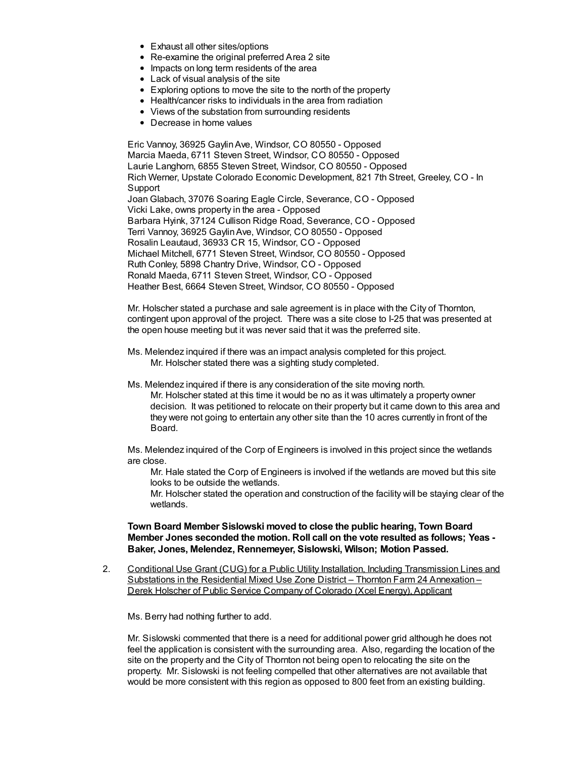- Exhaust all other sites/options
- Re-examine the original preferred Area 2 site
- Impacts on long term residents of the area
- Lack of visual analysis of the site
- Exploring options to move the site to the north of the property
- Health/cancer risks to individuals in the area from radiation
- Views of the substation from surrounding residents
- Decrease in home values

Eric Vannoy, 36925 GaylinAve, Windsor, CO 80550 - Opposed Marcia Maeda, 6711 Steven Street, Windsor, CO 80550 - Opposed Laurie Langhorn, 6855 Steven Street, Windsor, CO 80550 - Opposed Rich Werner, Upstate Colorado Economic Development, 821 7th Street, Greeley, CO - In Support Joan Glabach, 37076 Soaring Eagle Circle, Severance, CO - Opposed Vicki Lake, owns property in the area - Opposed Barbara Hyink, 37124 Cullison Ridge Road, Severance, CO - Opposed Terri Vannoy, 36925 GaylinAve, Windsor, CO 80550 - Opposed Rosalin Leautaud, 36933 CR 15, Windsor, CO - Opposed Michael Mitchell, 6771 Steven Street, Windsor, CO 80550 - Opposed Ruth Conley, 5898 Chantry Drive, Windsor, CO - Opposed Ronald Maeda, 6711 Steven Street, Windsor, CO - Opposed Heather Best, 6664 Steven Street, Windsor, CO 80550 - Opposed

Mr. Holscher stated a purchase and sale agreement is in place with the City of Thornton, contingent upon approval of the project. There was a site close to I-25 that was presented at the open house meeting but it was never said that it was the preferred site.

- Ms. Melendez inquired if there was an impact analysis completed for this project. Mr. Holscher stated there was a sighting study completed.
- Ms. Melendez inquired if there is any consideration of the site moving north. Mr. Holscher stated at this time it would be no as it was ultimately a property owner decision. It was petitioned to relocate on their property but it came down to this area and they were not going to entertain any other site than the 10 acres currently in front of the Board.

Ms. Melendez inquired of the Corp of Engineers is involved in this project since the wetlands are close.

Mr. Hale stated the Corp of Engineers is involved if the wetlands are moved but this site looks to be outside the wetlands.

Mr. Holscher stated the operation and construction of the facility will be staying clear of the wetlands.

### **Town Board Member Sislowski moved to close the public hearing, Town Board Member Jones seconded the motion. Roll call on the vote resulted as follows; Yeas - Baker, Jones, Melendez, Rennemeyer, Sislowski, Wilson; Motion Passed.**

2. Conditional Use Grant (CUG) for a Public Utility Installation, Including Transmission Lines and Substations in the Residential Mixed Use Zone District – Thornton Farm 24 Annexation – Derek Holscher of Public Service Company of Colorado (Xcel Energy), Applicant

Ms. Berry had nothing further to add.

Mr. Sislowski commented that there is a need for additional power grid although he does not feel the application is consistent with the surrounding area. Also, regarding the location of the site on the property and the City of Thornton not being open to relocating the site on the property. Mr. Sislowski is not feeling compelled that other alternatives are not available that would be more consistent with this region as opposed to 800 feet from an existing building.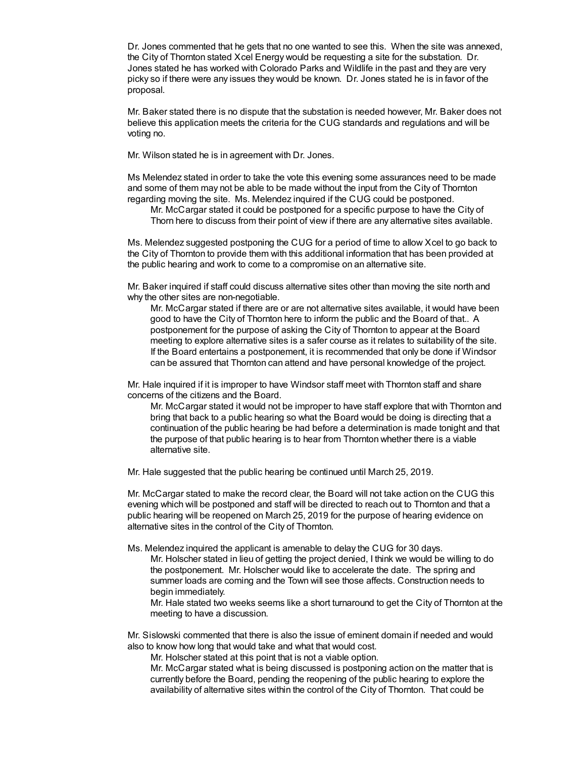Dr. Jones commented that he gets that no one wanted to see this. When the site was annexed, the City of Thornton stated Xcel Energy would be requesting a site for the substation. Dr. Jones stated he has worked with Colorado Parks and Wildlife in the past and they are very picky so if there were any issues they would be known. Dr. Jones stated he is in favor of the proposal.

Mr. Baker stated there is no dispute that the substation is needed however, Mr. Baker does not believe this application meets the criteria for the CUG standards and regulations and will be voting no.

Mr. Wilson stated he is in agreement with Dr. Jones.

Ms Melendez stated in order to take the vote this evening some assurances need to be made and some of them may not be able to be made without the input from the City of Thornton regarding moving the site. Ms. Melendez inquired if the CUG could be postponed.

Mr. McCargar stated it could be postponed for a specific purpose to have the City of Thorn here to discuss from their point of view if there are any alternative sites available.

Ms. Melendez suggested postponing the CUG for a period of time to allow Xcel to go back to the City of Thornton to provide them with this additional information that has been provided at the public hearing and work to come to a compromise on an alternative site.

Mr. Baker inquired if staff could discuss alternative sites other than moving the site north and why the other sites are non-negotiable.

Mr. McCargar stated if there are or are not alternative sites available, it would have been good to have the City of Thornton here to inform the public and the Board of that.. A postponement for the purpose of asking the City of Thornton to appear at the Board meeting to explore alternative sites is a safer course as it relates to suitability of the site. If the Board entertains a postponement, it is recommended that only be done if Windsor can be assured that Thornton can attend and have personal knowledge of the project.

Mr. Hale inquired if it is improper to have Windsor staff meet with Thornton staff and share concerns of the citizens and the Board.

Mr. McCargar stated it would not be improper to have staff explore that with Thornton and bring that back to a public hearing so what the Board would be doing is directing that a continuation of the public hearing be had before a determination is made tonight and that the purpose of that public hearing is to hear from Thornton whether there is a viable alternative site.

Mr. Hale suggested that the public hearing be continued until March 25, 2019.

Mr. McCargar stated to make the record clear, the Board will not take action on the CUG this evening which will be postponed and staff will be directed to reach out to Thornton and that a public hearing will be reopened on March 25, 2019 for the purpose of hearing evidence on alternative sites in the control of the City of Thornton.

Ms. Melendez inquired the applicant is amenable to delay the CUG for 30 days.

Mr. Holscher stated in lieu of getting the project denied, I think we would be willing to do the postponement. Mr. Holscher would like to accelerate the date. The spring and summer loads are coming and the Town will see those affects. Construction needs to begin immediately.

Mr. Hale stated two weeks seems like a short turnaround to get the City of Thornton at the meeting to have a discussion.

Mr. Sislowski commented that there is also the issue of eminent domain if needed and would also to know how long that would take and what that would cost.

Mr. Holscher stated at this point that is not a viable option.

Mr. McCargar stated what is being discussed is postponing action on the matter that is currently before the Board, pending the reopening of the public hearing to explore the availability of alternative sites within the control of the City of Thornton. That could be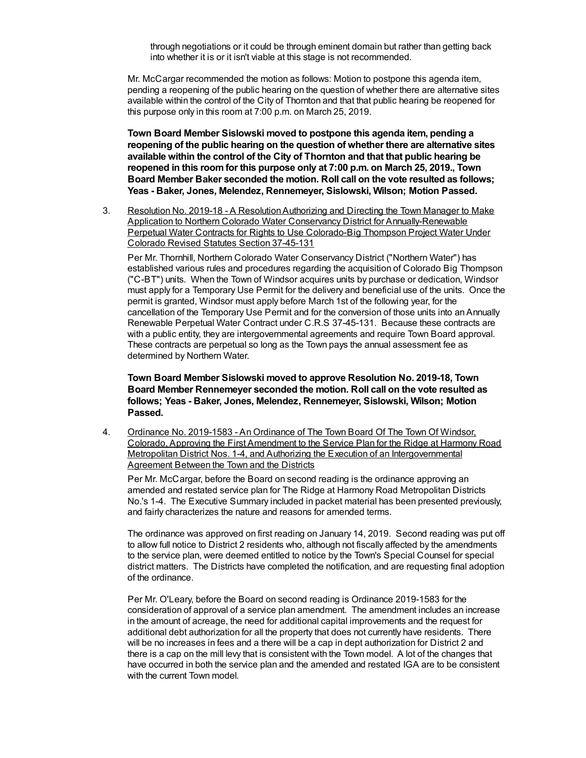through negotiations or it could be through eminent domain but rather than getting back into whether it is or it isn't viable at this stage is not recommended.

Mr. McCargar recommended the motion as follows: Motion to postpone this agenda item, pending a reopening of the public hearing on the question of whether there are alternative sites available within the control of the City of Thornton and that that public hearing be reopened for this purpose only in this room at 7:00 p.m. on March 25, 2019.

**Town Board Member Sislowski moved to postpone this agenda item, pending a reopening of the public hearing on the question of whether there are alternative sites available within the control of the City of Thornton and that that public hearing be reopened in this roomfor this purpose only at 7:00 p.m. on March 25, 2019., Town Board Member Baker seconded the motion. Roll call on the vote resulted as follows; Yeas - Baker, Jones, Melendez, Rennemeyer, Sislowski, Wilson; Motion Passed.**

3. Resolution No. 2019-18 - A ResolutionAuthorizing and Directing the Town Manager to Make Application to Northern Colorado Water Conservancy District for Annually-Renewable Perpetual Water Contracts for Rights to Use Colorado-Big Thompson Project Water Under Colorado Revised Statutes Section 37-45-131

Per Mr. Thornhill, Northern Colorado Water Conservancy District ("Northern Water") has established various rules and procedures regarding the acquisition of Colorado Big Thompson ("C-BT") units. When the Town of Windsor acquires units by purchase or dedication, Windsor must apply for a Temporary Use Permit for the delivery and beneficial use of the units. Once the permit is granted, Windsor must apply before March 1st of the following year, for the cancellation of the Temporary Use Permit and for the conversion of those units into anAnnually Renewable Perpetual Water Contract under C.R.S 37-45-131. Because these contracts are with a public entity, they are intergovernmental agreements and require Town Board approval. These contracts are perpetual so long as the Town pays the annual assessment fee as determined by Northern Water.

**Town Board Member Sislowski moved to approve Resolution No. 2019-18, Town Board Member Rennemeyer seconded the motion. Roll call on the vote resulted as follows; Yeas - Baker, Jones, Melendez, Rennemeyer, Sislowski, Wilson; Motion Passed.**

4. Ordinance No. 2019-1583 - An Ordinance of The Town Board Of The Town Of Windsor, Colorado, Approving the First Amendment to the Service Plan for the Ridge at Harmony Road Metropolitan District Nos. 1-4, and Authorizing the Execution of an Intergovernmental Agreement Between the Town and the Districts

Per Mr. McCargar, before the Board on second reading is the ordinance approving an amended and restated service plan for The Ridge at Harmony Road Metropolitan Districts No.'s 1-4. The Executive Summary included in packet material has been presented previously, and fairly characterizes the nature and reasons for amended terms.

The ordinance was approved on first reading on January 14, 2019. Second reading was put off to allow full notice to District 2 residents who, although not fiscally affected by the amendments to the service plan, were deemed entitled to notice by the Town's Special Counsel for special district matters. The Districts have completed the notification, and are requesting final adoption of the ordinance.

Per Mr. O'Leary, before the Board on second reading is Ordinance 2019-1583 for the consideration of approval of a service plan amendment. The amendment includes an increase in the amount of acreage, the need for additional capital improvements and the request for additional debt authorization for all the property that does not currently have residents. There will be no increases in fees and a there will be a cap in dept authorization for District 2 and there is a cap on the mill levy that is consistent with the Town model. A lot of the changes that have occurred in both the service plan and the amended and restated IGA are to be consistent with the current Town model.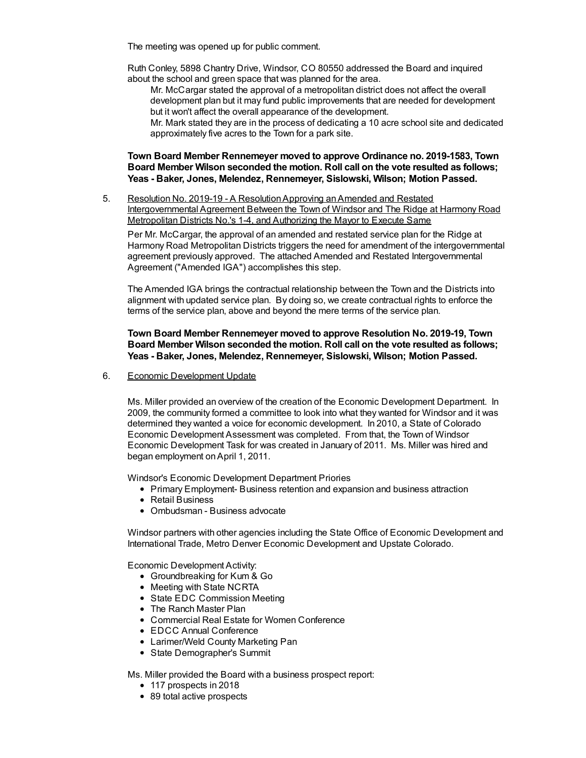The meeting was opened up for public comment.

Ruth Conley, 5898 Chantry Drive, Windsor, CO 80550 addressed the Board and inquired about the school and green space that was planned for the area.

Mr. McCargar stated the approval of a metropolitan district does not affect the overall development plan but it may fund public improvements that are needed for development but it won't affect the overall appearance of the development.

Mr. Mark stated they are in the process of dedicating a 10 acre school site and dedicated approximately five acres to the Town for a park site.

## **Town Board Member Rennemeyer moved to approve Ordinance no. 2019-1583, Town Board Member Wilson seconded the motion. Roll call on the vote resulted as follows; Yeas - Baker, Jones, Melendez, Rennemeyer, Sislowski, Wilson; Motion Passed.**

5. Resolution No. 2019-19 - A ResolutionApproving anAmended and Restated Intergovernmental Agreement Between the Town of Windsor and The Ridge at Harmony Road Metropolitan Districts No.'s 1-4, and Authorizing the Mayor to Execute Same

Per Mr. McCargar, the approval of an amended and restated service plan for the Ridge at Harmony Road Metropolitan Districts triggers the need for amendment of the intergovernmental agreement previously approved. The attached Amended and Restated Intergovernmental Agreement ("Amended IGA") accomplishes this step.

The Amended IGA brings the contractual relationship between the Town and the Districts into alignment with updated service plan. By doing so, we create contractual rights to enforce the terms of the service plan, above and beyond the mere terms of the service plan.

## **Town Board Member Rennemeyer moved to approve Resolution No. 2019-19, Town Board Member Wilson seconded the motion. Roll call on the vote resulted as follows; Yeas - Baker, Jones, Melendez, Rennemeyer, Sislowski, Wilson; Motion Passed.**

6. Economic Development Update

Ms. Miller provided an overview of the creation of the Economic Development Department. In 2009, the community formed a committee to look into what they wanted for Windsor and it was determined they wanted a voice for economic development. In 2010, a State of Colorado Economic Development Assessment was completed. From that, the Town of Windsor Economic Development Task for was created in January of 2011. Ms. Miller was hired and began employment onApril 1, 2011.

Windsor's Economic Development Department Priories

- Primary Employment- Business retention and expansion and business attraction
- Retail Business
- Ombudsman Business advocate

Windsor partners with other agencies including the State Office of Economic Development and International Trade, Metro Denver Economic Development and Upstate Colorado.

Economic Development Activity:

- Groundbreaking for Kum & Go
- Meeting with State NCRTA
- State EDC Commission Meeting
- The Ranch Master Plan
- Commercial Real Estate for Women Conference
- EDCC Annual Conference
- Larimer/Weld County Marketing Pan
- State Demographer's Summit

Ms. Miller provided the Board with a business prospect report:

- 117 prospects in 2018
- 89 total active prospects